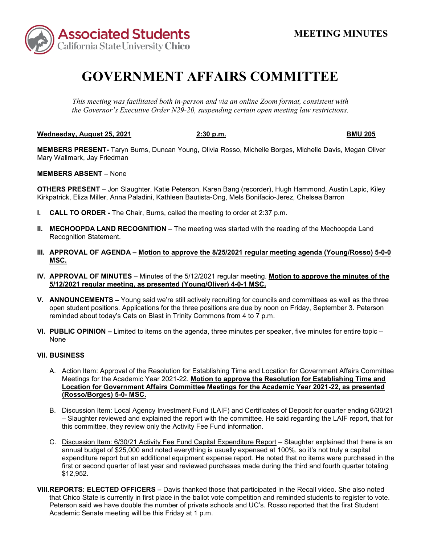

## **GOVERNMENT AFFAIRS COMMITTEE**

*This meeting was facilitated both in-person and via an online Zoom format, consistent with the Governor's Executive Order N29-20, suspending certain open meeting law restrictions.*

**Wednesday, August 25, 2021 2:30 p.m. BMU 205**

**MEMBERS PRESENT-** Taryn Burns, Duncan Young, Olivia Rosso, Michelle Borges, Michelle Davis, Megan Oliver Mary Wallmark, Jay Friedman

**MEMBERS ABSENT –** None

**OTHERS PRESENT** – Jon Slaughter, Katie Peterson, Karen Bang (recorder), Hugh Hammond, Austin Lapic, Kiley Kirkpatrick, Eliza Miller, Anna Paladini, Kathleen Bautista-Ong, Mels Bonifacio-Jerez, Chelsea Barron

- **I. CALL TO ORDER -** The Chair, Burns, called the meeting to order at 2:37 p.m.
- **II. MECHOOPDA LAND RECOGNITION** The meeting was started with the reading of the Mechoopda Land Recognition Statement.
- **III. APPROVAL OF AGENDA – Motion to approve the 8/25/2021 regular meeting agenda (Young/Rosso) 5-0-0 MSC.**
- **IV. APPROVAL OF MINUTES** Minutes of the 5/12/2021 regular meeting. **Motion to approve the minutes of the 5/12/2021 regular meeting, as presented (Young/Oliver) 4-0-1 MSC.**
- **V. ANNOUNCEMENTS –** Young said we're still actively recruiting for councils and committees as well as the three open student positions. Applications for the three positions are due by noon on Friday, September 3. Peterson reminded about today's Cats on Blast in Trinity Commons from 4 to 7 p.m.
- **VI. PUBLIC OPINION –** Limited to items on the agenda, three minutes per speaker, five minutes for entire topic None

## **VII. BUSINESS**

- A. Action Item: Approval of the Resolution for Establishing Time and Location for Government Affairs Committee Meetings for the Academic Year 2021-22. **Motion to approve the Resolution for Establishing Time and Location for Government Affairs Committee Meetings for the Academic Year 2021-22, as presented (Rosso/Borges) 5-0- MSC.**
- B. Discussion Item: Local Agency Investment Fund (LAIF) and Certificates of Deposit for quarter ending 6/30/21 – Slaughter reviewed and explained the report with the committee. He said regarding the LAIF report, that for this committee, they review only the Activity Fee Fund information.
- C. Discussion Item: 6/30/21 Activity Fee Fund Capital Expenditure Report Slaughter explained that there is an annual budget of \$25,000 and noted everything is usually expensed at 100%, so it's not truly a capital expenditure report but an additional equipment expense report. He noted that no items were purchased in the first or second quarter of last year and reviewed purchases made during the third and fourth quarter totaling \$12,952.
- **VIII.REPORTS: ELECTED OFFICERS –** Davis thanked those that participated in the Recall video. She also noted that Chico State is currently in first place in the ballot vote competition and reminded students to register to vote. Peterson said we have double the number of private schools and UC's. Rosso reported that the first Student Academic Senate meeting will be this Friday at 1 p.m.